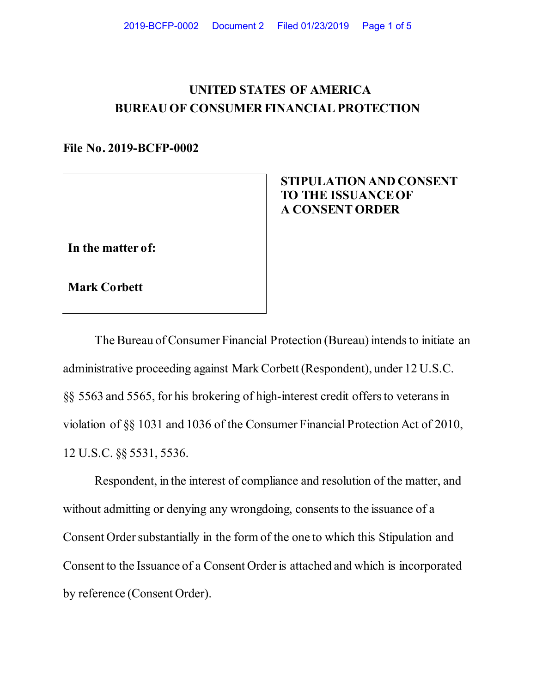## **UNITED STATES OF AMERICA BUREAU OF CONSUMER FINANCIAL PROTECTION**

**File No. 2019-BCFP-0002** 

**In the matter of:**

 **STIPULATION AND CONSENT TO THE ISSUANCE OF A CONSENT ORDER**

**Mark Corbett**

The Bureau of Consumer Financial Protection (Bureau) intends to initiate an administrative proceeding against Mark Corbett (Respondent), under 12 U.S.C. §§ 5563 and 5565, for his brokering of high-interest credit offers to veterans in violation of §§ 1031 and 1036 of the Consumer Financial Protection Act of 2010, 12 U.S.C. §§ 5531, 5536.

Respondent, in the interest of compliance and resolution of the matter, and without admitting or denying any wrongdoing, consents to the issuance of a Consent Order substantially in the form of the one to which this Stipulation and Consent to the Issuance of a Consent Order is attached and which is incorporated by reference (Consent Order).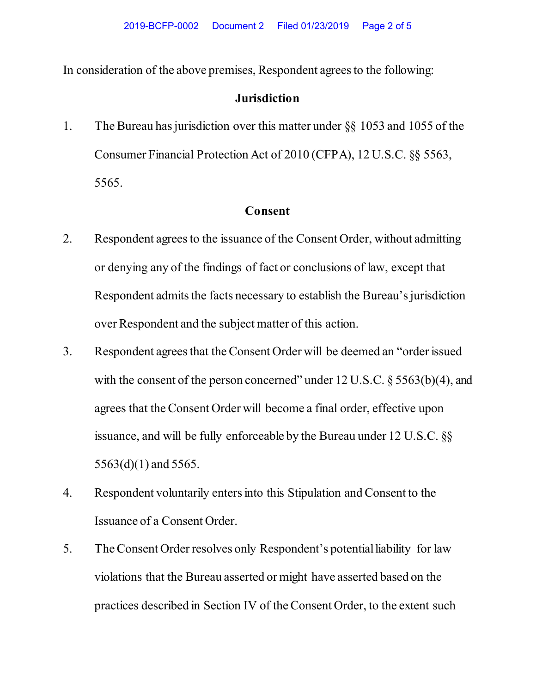In consideration of the above premises, Respondent agrees to the following:

## **Jurisdiction**

1. The Bureau has jurisdiction over this matter under §§ 1053 and 1055 of the Consumer Financial Protection Act of 2010 (CFPA), 12 U.S.C. §§ 5563, 5565.

## **Consent**

- 2. Respondent agrees to the issuance of the Consent Order, without admitting or denying any of the findings of fact or conclusions of law, except that Respondent admits the facts necessary to establish the Bureau's jurisdiction over Respondent and the subject matter of this action.
- 3. Respondent agrees that the Consent Order will be deemed an "order issued with the consent of the person concerned" under 12 U.S.C. § 5563(b)(4), and agrees that the Consent Order will become a final order, effective upon issuance, and will be fully enforceable by the Bureau under 12 U.S.C. §§ 5563(d)(1) and 5565.
- 4. Respondent voluntarily enters into this Stipulation and Consent to the Issuance of a Consent Order.
- 5. The Consent Order resolves only Respondent's potential liability for law violations that the Bureau asserted or might have asserted based on the practices described in Section IV of the Consent Order, to the extent such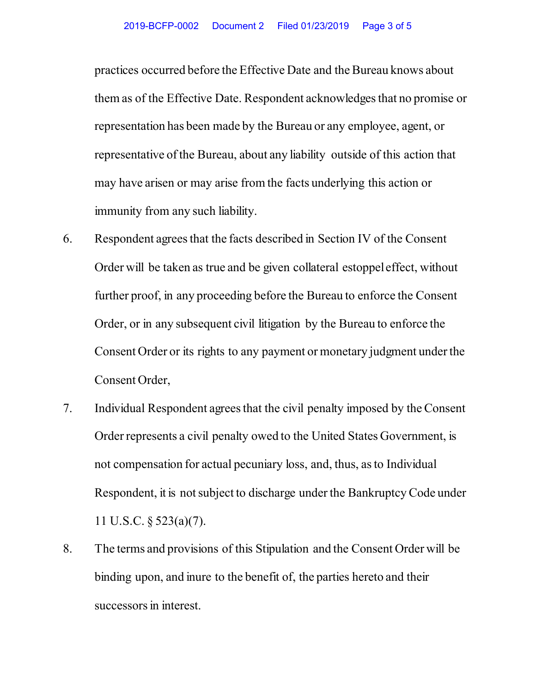practices occurred before the Effective Date and the Bureau knows about them as of the Effective Date. Respondent acknowledges that no promise or representation has been made by the Bureau or any employee, agent, or representative of the Bureau, about any liability outside of this action that may have arisen or may arise from the facts underlying this action or immunity from any such liability.

- 6. Respondent agrees that the facts described in Section IV of the Consent Order will be taken as true and be given collateral estoppel effect, without further proof, in any proceeding before the Bureau to enforce the Consent Order, or in any subsequent civil litigation by the Bureau to enforce the Consent Order or its rights to any payment or monetary judgment under the Consent Order,
- 7. Individual Respondent agrees that the civil penalty imposed by the Consent Order represents a civil penalty owed to the United States Government, is not compensation for actual pecuniary loss, and, thus, as to Individual Respondent, it is not subject to discharge under the Bankruptcy Code under 11 U.S.C. § 523(a)(7).
- 8. The terms and provisions of this Stipulation and the Consent Order will be binding upon, and inure to the benefit of, the parties hereto and their successors in interest.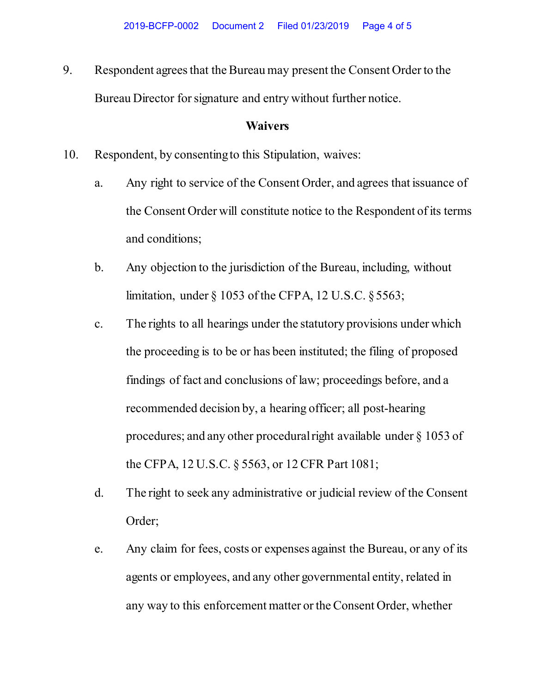9. Respondent agrees that the Bureau may present the Consent Order to the Bureau Director for signature and entry without further notice.

## **Waivers**

- 10. Respondent, by consenting to this Stipulation, waives:
	- a. Any right to service of the Consent Order, and agrees that issuance of the Consent Order will constitute notice to the Respondent of its terms and conditions;
	- b. Any objection to the jurisdiction of the Bureau, including, without limitation, under § 1053 of the CFPA, 12 U.S.C. § 5563;
	- c. The rights to all hearings under the statutory provisions under which the proceeding is to be or has been instituted; the filing of proposed findings of fact and conclusions of law; proceedings before, and a recommended decision by, a hearing officer; all post-hearing procedures; and any other procedural right available under § 1053 of the CFPA, 12 U.S.C. § 5563, or 12 CFR Part 1081;
	- d. The right to seek any administrative or judicial review of the Consent Order;
	- e. Any claim for fees, costs or expenses against the Bureau, or any of its agents or employees, and any other governmental entity, related in any way to this enforcement matter or the Consent Order, whether